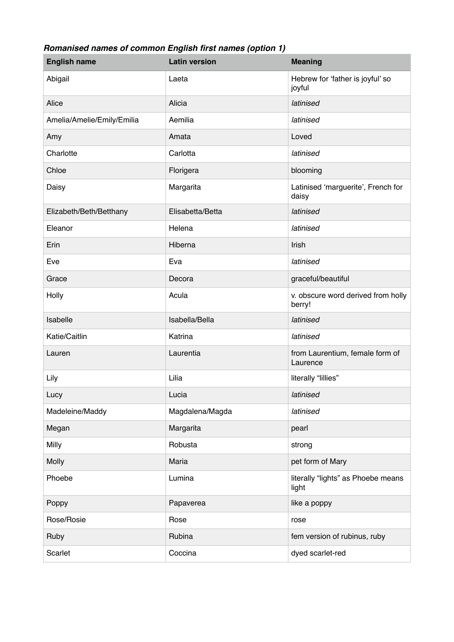## *Romanised names of common English first names (option 1)*

| <b>English name</b>        | <b>Latin version</b> | <b>Meaning</b>                               |
|----------------------------|----------------------|----------------------------------------------|
| Abigail                    | Laeta                | Hebrew for 'father is joyful' so<br>joyful   |
| Alice                      | Alicia               | latinised                                    |
| Amelia/Amelie/Emily/Emilia | Aemilia              | latinised                                    |
| Amy                        | Amata                | Loved                                        |
| Charlotte                  | Carlotta             | latinised                                    |
| Chloe                      | Florigera            | blooming                                     |
| Daisy                      | Margarita            | Latinised 'marguerite', French for<br>daisy  |
| Elizabeth/Beth/Betthany    | Elisabetta/Betta     | latinised                                    |
| Eleanor                    | Helena               | latinised                                    |
| Erin                       | Hiberna              | Irish                                        |
| Eve                        | Eva                  | latinised                                    |
| Grace                      | Decora               | graceful/beautiful                           |
| Holly                      | Acula                | v. obscure word derived from holly<br>berry! |
| Isabelle                   | Isabella/Bella       | latinised                                    |
| Katie/Caitlin              | Katrina              | latinised                                    |
| Lauren                     | Laurentia            | from Laurentium, female form of<br>Laurence  |
| Lily                       | Lilia                | literally "lillies"                          |
| Lucy                       | Lucia                | latinised                                    |
| Madeleine/Maddy            | Magdalena/Magda      | latinised                                    |
| Megan                      | Margarita            | pearl                                        |
| Milly                      | Robusta              | strong                                       |
| <b>Molly</b>               | Maria                | pet form of Mary                             |
| Phoebe                     | Lumina               | literally "lights" as Phoebe means<br>light  |
| Poppy                      | Papaverea            | like a poppy                                 |
| Rose/Rosie                 | Rose                 | rose                                         |
| Ruby                       | Rubina               | fem version of rubinus, ruby                 |
| Scarlet                    | Coccina              | dyed scarlet-red                             |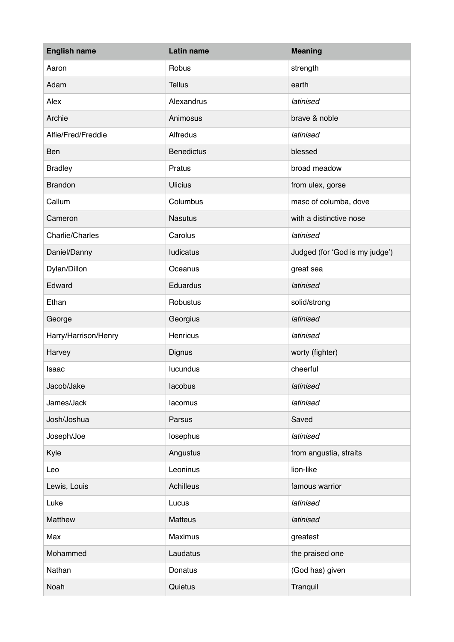| <b>English name</b>  | Latin name        | <b>Meaning</b>                 |
|----------------------|-------------------|--------------------------------|
| Aaron                | Robus             | strength                       |
| Adam                 | <b>Tellus</b>     | earth                          |
| Alex                 | Alexandrus        | latinised                      |
| Archie               | Animosus          | brave & noble                  |
| Alfie/Fred/Freddie   | Alfredus          | latinised                      |
| Ben                  | <b>Benedictus</b> | blessed                        |
| <b>Bradley</b>       | Pratus            | broad meadow                   |
| <b>Brandon</b>       | <b>Ulicius</b>    | from ulex, gorse               |
| Callum               | Columbus          | masc of columba, dove          |
| Cameron              | <b>Nasutus</b>    | with a distinctive nose        |
| Charlie/Charles      | Carolus           | latinised                      |
| Daniel/Danny         | ludicatus         | Judged (for 'God is my judge') |
| Dylan/Dillon         | Oceanus           | great sea                      |
| Edward               | Eduardus          | latinised                      |
| Ethan                | Robustus          | solid/strong                   |
| George               | Georgius          | latinised                      |
| Harry/Harrison/Henry | Henricus          | latinised                      |
| Harvey               | Dignus            | worty (fighter)                |
| Isaac                | lucundus          | cheerful                       |
| Jacob/Jake           | lacobus           | latinised                      |
| James/Jack           | lacomus           | latinised                      |
| Josh/Joshua          | Parsus            | Saved                          |
| Joseph/Joe           | losephus          | latinised                      |
| Kyle                 | Angustus          | from angustia, straits         |
| Leo                  | Leoninus          | lion-like                      |
| Lewis, Louis         | Achilleus         | famous warrior                 |
| Luke                 | Lucus             | latinised                      |
| Matthew              | Matteus           | latinised                      |
| Max                  | Maximus           | greatest                       |
| Mohammed             | Laudatus          | the praised one                |
| Nathan               | Donatus           | (God has) given                |
| Noah                 | Quietus           | Tranquil                       |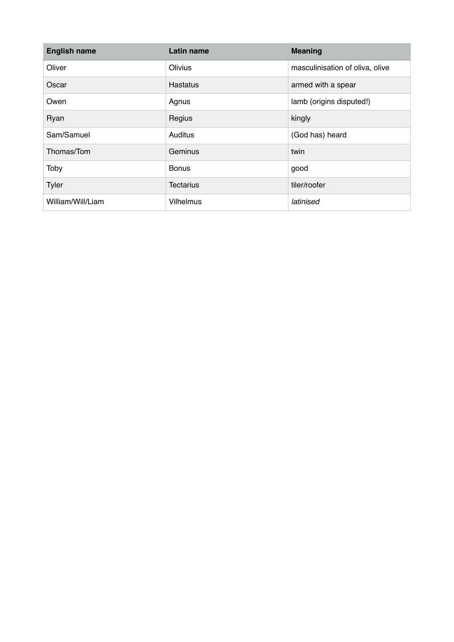| <b>English name</b> | Latin name       | <b>Meaning</b>                  |
|---------------------|------------------|---------------------------------|
| Oliver              | Olivius          | masculinisation of oliva, olive |
| Oscar               | Hastatus         | armed with a spear              |
| Owen                | Agnus            | lamb (origins disputed!)        |
| Ryan                | Regius           | kingly                          |
| Sam/Samuel          | Auditus          | (God has) heard                 |
| Thomas/Tom          | Geminus          | twin                            |
| Toby                | <b>Bonus</b>     | good                            |
| Tyler               | <b>Tectarius</b> | tiler/roofer                    |
| William/Will/Liam   | <b>Vilhelmus</b> | latinised                       |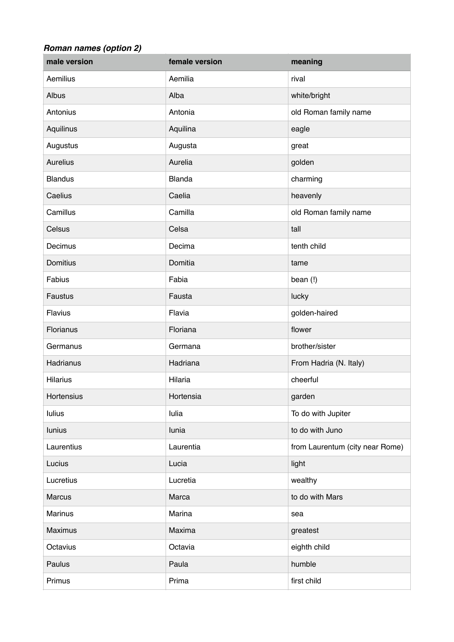## *Roman names (option 2)*

| male version    | female version | meaning                         |
|-----------------|----------------|---------------------------------|
| Aemilius        | Aemilia        | rival                           |
| Albus           | Alba           | white/bright                    |
| Antonius        | Antonia        | old Roman family name           |
| Aquilinus       | Aquilina       | eagle                           |
| Augustus        | Augusta        | great                           |
| <b>Aurelius</b> | Aurelia        | golden                          |
| <b>Blandus</b>  | <b>Blanda</b>  | charming                        |
| Caelius         | Caelia         | heavenly                        |
| Camillus        | Camilla        | old Roman family name           |
| Celsus          | Celsa          | tall                            |
| Decimus         | Decima         | tenth child                     |
| <b>Domitius</b> | Domitia        | tame                            |
| Fabius          | Fabia          | bean (!)                        |
| Faustus         | Fausta         | lucky                           |
| Flavius         | Flavia         | golden-haired                   |
| Florianus       | Floriana       | flower                          |
| Germanus        | Germana        | brother/sister                  |
| Hadrianus       | Hadriana       | From Hadria (N. Italy)          |
| <b>Hilarius</b> | Hilaria        | cheerful                        |
| Hortensius      | Hortensia      | garden                          |
| <b>Iulius</b>   | lulia          | To do with Jupiter              |
| <b>lunius</b>   | lunia          | to do with Juno                 |
| Laurentius      | Laurentia      | from Laurentum (city near Rome) |
| Lucius          | Lucia          | light                           |
| Lucretius       | Lucretia       | wealthy                         |
| <b>Marcus</b>   | Marca          | to do with Mars                 |
| Marinus         | Marina         | sea                             |
| Maximus         | Maxima         | greatest                        |
| Octavius        | Octavia        | eighth child                    |
| Paulus          | Paula          | humble                          |
| Primus          | Prima          | first child                     |